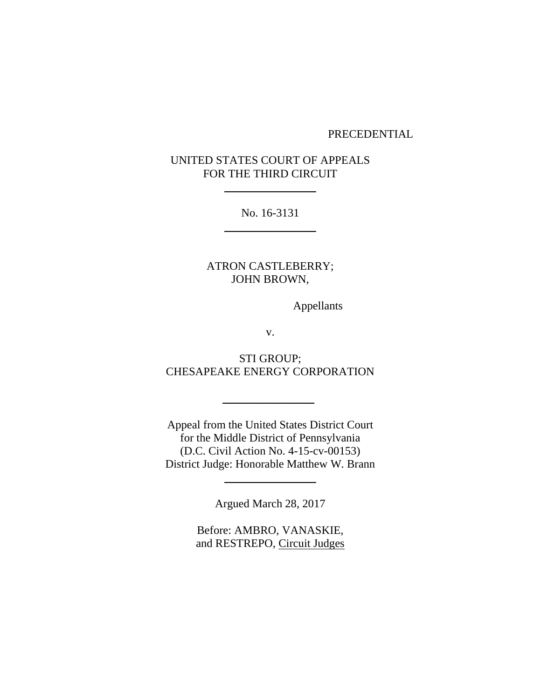#### PRECEDENTIAL

# UNITED STATES COURT OF APPEALS FOR THE THIRD CIRCUIT

 $\frac{1}{2}$ 

No. 16-3131  $\frac{1}{2}$ 

ATRON CASTLEBERRY; JOHN BROWN,

Appellants

v.

STI GROUP; CHESAPEAKE ENERGY CORPORATION

 $\frac{1}{2}$ 

Appeal from the United States District Court for the Middle District of Pennsylvania (D.C. Civil Action No. 4-15-cv-00153) District Judge: Honorable Matthew W. Brann

Argued March 28, 2017

\_\_\_\_\_\_\_\_\_\_\_\_\_\_\_\_

Before: AMBRO, VANASKIE, and RESTREPO, Circuit Judges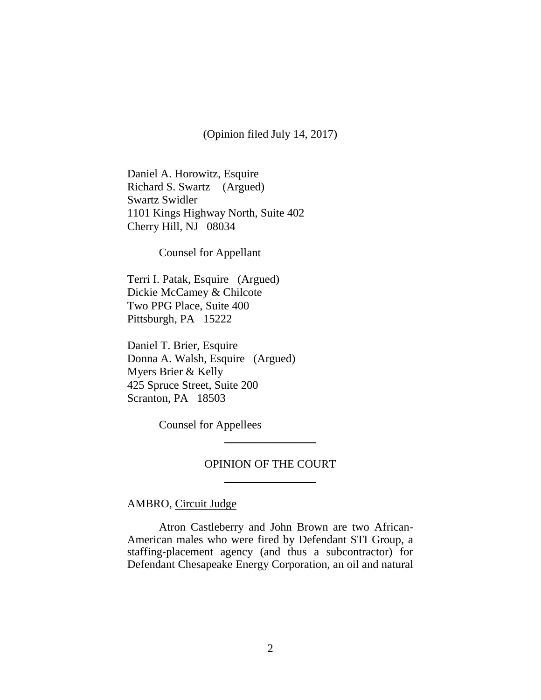(Opinion filed July 14, 2017)

Daniel A. Horowitz, Esquire Richard S. Swartz (Argued) Swartz Swidler 1101 Kings Highway North, Suite 402 Cherry Hill, NJ 08034

Counsel for Appellant

Terri I. Patak, Esquire (Argued) Dickie McCamey & Chilcote Two PPG Place, Suite 400 Pittsburgh, PA 15222

Daniel T. Brier, Esquire Donna A. Walsh, Esquire (Argued) Myers Brier & Kelly 425 Spruce Street, Suite 200 Scranton, PA 18503

Counsel for Appellees

# OPINION OF THE COURT \_\_\_\_\_\_\_\_\_\_\_\_\_\_\_\_

 $\overline{\phantom{a}}$ 

AMBRO, Circuit Judge

Atron Castleberry and John Brown are two African-American males who were fired by Defendant STI Group, a staffing-placement agency (and thus a subcontractor) for Defendant Chesapeake Energy Corporation, an oil and natural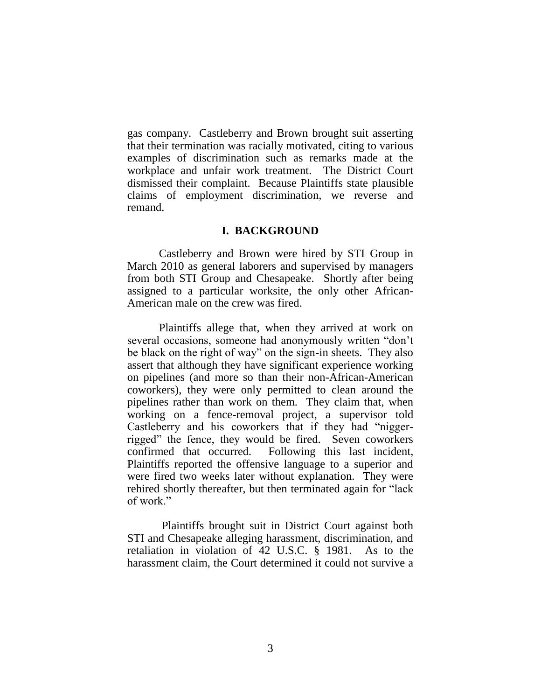gas company. Castleberry and Brown brought suit asserting that their termination was racially motivated, citing to various examples of discrimination such as remarks made at the workplace and unfair work treatment. The District Court dismissed their complaint. Because Plaintiffs state plausible claims of employment discrimination, we reverse and remand.

## **I. BACKGROUND**

Castleberry and Brown were hired by STI Group in March 2010 as general laborers and supervised by managers from both STI Group and Chesapeake. Shortly after being assigned to a particular worksite, the only other African-American male on the crew was fired.

Plaintiffs allege that, when they arrived at work on several occasions, someone had anonymously written "don't be black on the right of way" on the sign-in sheets. They also assert that although they have significant experience working on pipelines (and more so than their non-African-American coworkers), they were only permitted to clean around the pipelines rather than work on them. They claim that, when working on a fence-removal project, a supervisor told Castleberry and his coworkers that if they had "niggerrigged" the fence, they would be fired. Seven coworkers confirmed that occurred. Following this last incident, Plaintiffs reported the offensive language to a superior and were fired two weeks later without explanation. They were rehired shortly thereafter, but then terminated again for "lack of work."

Plaintiffs brought suit in District Court against both STI and Chesapeake alleging harassment, discrimination, and retaliation in violation of 42 U.S.C. § 1981. As to the harassment claim, the Court determined it could not survive a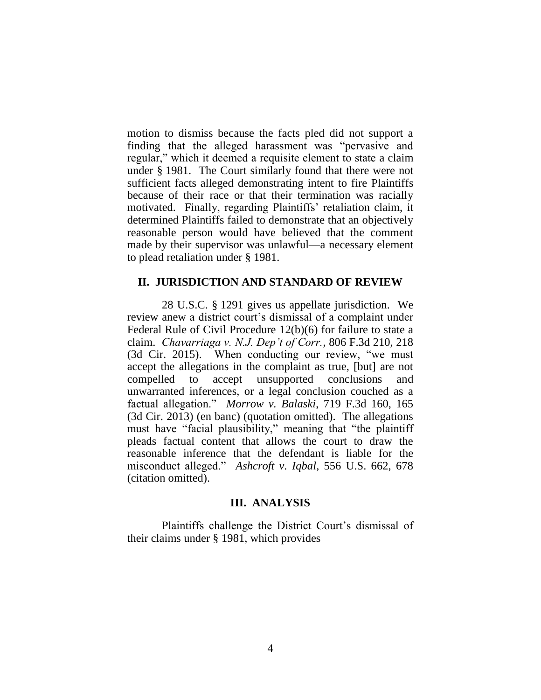motion to dismiss because the facts pled did not support a finding that the alleged harassment was "pervasive and regular," which it deemed a requisite element to state a claim under § 1981. The Court similarly found that there were not sufficient facts alleged demonstrating intent to fire Plaintiffs because of their race or that their termination was racially motivated. Finally, regarding Plaintiffs' retaliation claim, it determined Plaintiffs failed to demonstrate that an objectively reasonable person would have believed that the comment made by their supervisor was unlawful—a necessary element to plead retaliation under § 1981.

### **II. JURISDICTION AND STANDARD OF REVIEW**

28 U.S.C. § 1291 gives us appellate jurisdiction. We review anew a district court's dismissal of a complaint under Federal Rule of Civil Procedure 12(b)(6) for failure to state a claim. *Chavarriaga v. N.J. Dep't of Corr.*, 806 F.3d 210, 218 (3d Cir. 2015). When conducting our review, "we must accept the allegations in the complaint as true, [but] are not compelled to accept unsupported conclusions and unwarranted inferences, or a legal conclusion couched as a factual allegation." *Morrow v. Balaski*, 719 F.3d 160, 165 (3d Cir. 2013) (en banc) (quotation omitted). The allegations must have "facial plausibility," meaning that "the plaintiff pleads factual content that allows the court to draw the reasonable inference that the defendant is liable for the misconduct alleged." *Ashcroft v. Iqbal*, 556 U.S. 662, 678 (citation omitted).

# **III. ANALYSIS**

Plaintiffs challenge the District Court's dismissal of their claims under § 1981, which provides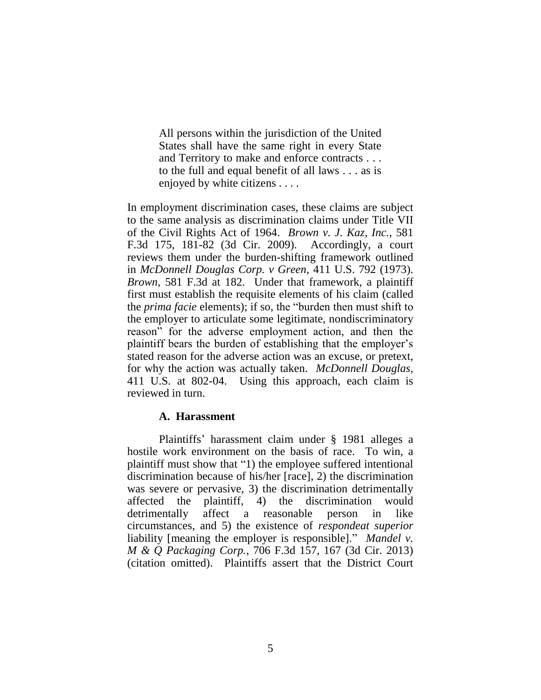All persons within the jurisdiction of the United States shall have the same right in every State and Territory to make and enforce contracts . . . to the full and equal benefit of all laws . . . as is enjoyed by white citizens . . . .

In employment discrimination cases, these claims are subject to the same analysis as discrimination claims under Title VII of the Civil Rights Act of 1964. *Brown v. J. Kaz, Inc.*, 581 F.3d 175, 181-82 (3d Cir. 2009). Accordingly, a court reviews them under the burden-shifting framework outlined in *McDonnell Douglas Corp. v Green*, 411 U.S. 792 (1973). *Brown*, 581 F.3d at 182. Under that framework, a plaintiff first must establish the requisite elements of his claim (called the *prima facie* elements); if so, the "burden then must shift to the employer to articulate some legitimate, nondiscriminatory reason" for the adverse employment action, and then the plaintiff bears the burden of establishing that the employer's stated reason for the adverse action was an excuse, or pretext, for why the action was actually taken. *McDonnell Douglas*, 411 U.S. at 802-04. Using this approach, each claim is reviewed in turn.

# **A. Harassment**

Plaintiffs' harassment claim under § 1981 alleges a hostile work environment on the basis of race. To win, a plaintiff must show that "1) the employee suffered intentional discrimination because of his/her [race], 2) the discrimination was severe or pervasive, 3) the discrimination detrimentally affected the plaintiff, 4) the discrimination would detrimentally affect a reasonable person in like circumstances, and 5) the existence of *respondeat superior* liability [meaning the employer is responsible]." *Mandel v. M & Q Packaging Corp.*, 706 F.3d 157, 167 (3d Cir. 2013) (citation omitted). Plaintiffs assert that the District Court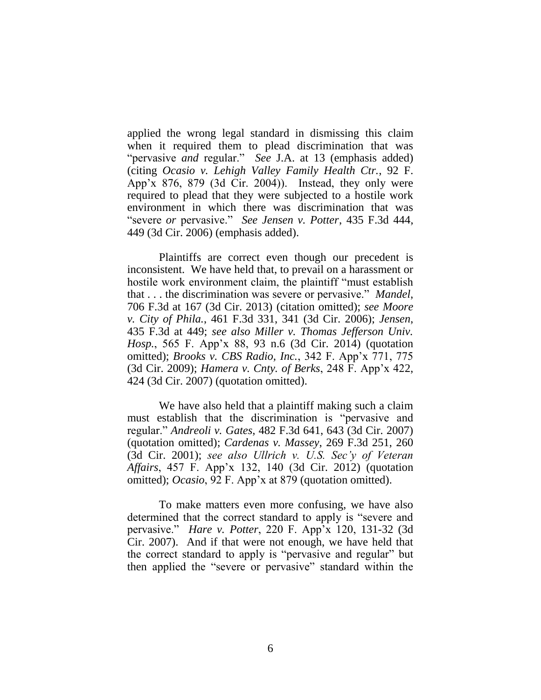applied the wrong legal standard in dismissing this claim when it required them to plead discrimination that was "pervasive *and* regular." *See* J.A. at 13 (emphasis added) (citing *Ocasio v. Lehigh Valley Family Health Ctr.*, 92 F. App'x 876, 879 (3d Cir. 2004)). Instead, they only were required to plead that they were subjected to a hostile work environment in which there was discrimination that was "severe *or* pervasive." *See Jensen v. Potter*, 435 F.3d 444, 449 (3d Cir. 2006) (emphasis added).

Plaintiffs are correct even though our precedent is inconsistent. We have held that, to prevail on a harassment or hostile work environment claim, the plaintiff "must establish that . . . the discrimination was severe or pervasive." *Mandel*, 706 F.3d at 167 (3d Cir. 2013) (citation omitted); *see Moore v. City of Phila.*, 461 F.3d 331, 341 (3d Cir. 2006); *Jensen*, 435 F.3d at 449; *see also Miller v. Thomas Jefferson Univ. Hosp.*, 565 F. App'x 88, 93 n.6 (3d Cir. 2014) (quotation omitted); *Brooks v. CBS Radio, Inc.*, 342 F. App'x 771, 775 (3d Cir. 2009); *Hamera v. Cnty. of Berks*, 248 F. App'x 422, 424 (3d Cir. 2007) (quotation omitted).

We have also held that a plaintiff making such a claim must establish that the discrimination is "pervasive and regular." *Andreoli v. Gates*, 482 F.3d 641, 643 (3d Cir. 2007) (quotation omitted); *Cardenas v. Massey*, 269 F.3d 251, 260 (3d Cir. 2001); *see also Ullrich v. U.S. Sec'y of Veteran Affairs*, 457 F. App'x 132, 140 (3d Cir. 2012) (quotation omitted); *Ocasio*, 92 F. App'x at 879 (quotation omitted).

To make matters even more confusing, we have also determined that the correct standard to apply is "severe and pervasive." *Hare v. Potter*, 220 F. App'x 120, 131-32 (3d Cir. 2007). And if that were not enough, we have held that the correct standard to apply is "pervasive and regular" but then applied the "severe or pervasive" standard within the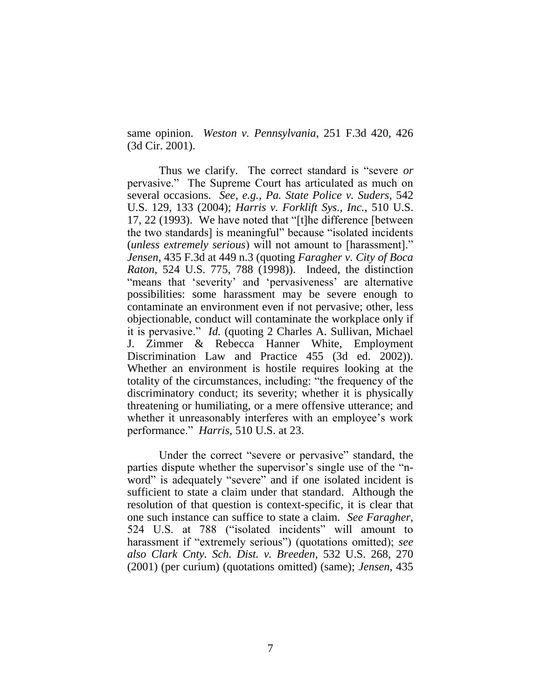same opinion. *Weston v. Pennsylvania*, 251 F.3d 420, 426 (3d Cir. 2001).

Thus we clarify. The correct standard is "severe *or* pervasive." The Supreme Court has articulated as much on several occasions. *See, e.g.*, *Pa. State Police v. Suders*, 542 U.S. 129, 133 (2004); *Harris v. Forklift Sys., Inc.*, 510 U.S. 17, 22 (1993). We have noted that "[t]he difference [between the two standards] is meaningful" because "isolated incidents (*unless extremely serious*) will not amount to [harassment]." *Jensen*, 435 F.3d at 449 n.3 (quoting *Faragher v. City of Boca Raton*, 524 U.S. 775, 788 (1998)). Indeed, the distinction "means that 'severity' and 'pervasiveness' are alternative possibilities: some harassment may be severe enough to contaminate an environment even if not pervasive; other, less objectionable, conduct will contaminate the workplace only if it is pervasive." *Id.* (quoting 2 Charles A. Sullivan, Michael J. Zimmer & Rebecca Hanner White, Employment Discrimination Law and Practice 455 (3d ed. 2002)). Whether an environment is hostile requires looking at the totality of the circumstances, including: "the frequency of the discriminatory conduct; its severity; whether it is physically threatening or humiliating, or a mere offensive utterance; and whether it unreasonably interferes with an employee's work performance." *Harris*, 510 U.S. at 23.

Under the correct "severe or pervasive" standard, the parties dispute whether the supervisor's single use of the "nword" is adequately "severe" and if one isolated incident is sufficient to state a claim under that standard. Although the resolution of that question is context-specific, it is clear that one such instance can suffice to state a claim. *See Faragher*, 524 U.S. at 788 ("isolated incidents" will amount to harassment if "extremely serious") (quotations omitted); *see also Clark Cnty. Sch. Dist. v. Breeden*, 532 U.S. 268, 270 (2001) (per curium) (quotations omitted) (same); *Jensen*, 435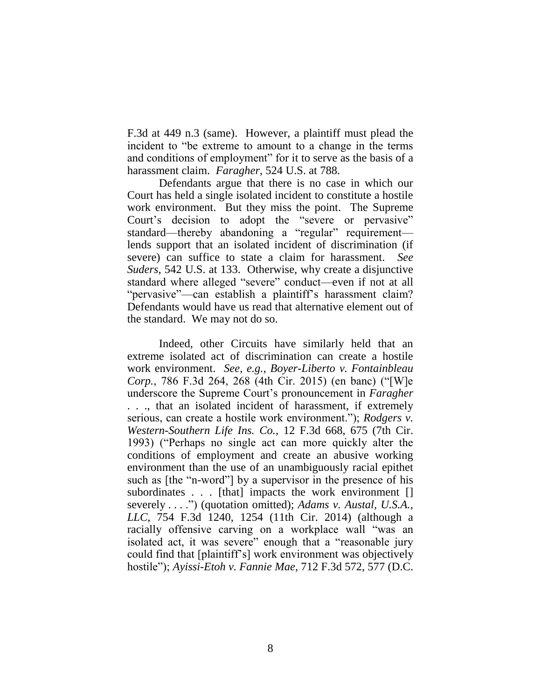F.3d at 449 n.3 (same). However, a plaintiff must plead the incident to "be extreme to amount to a change in the terms and conditions of employment" for it to serve as the basis of a harassment claim. *Faragher*, 524 U.S. at 788.

Defendants argue that there is no case in which our Court has held a single isolated incident to constitute a hostile work environment. But they miss the point. The Supreme Court's decision to adopt the "severe or pervasive" standard—thereby abandoning a "regular" requirement lends support that an isolated incident of discrimination (if severe) can suffice to state a claim for harassment. *See Suders*, 542 U.S. at 133. Otherwise, why create a disjunctive standard where alleged "severe" conduct—even if not at all "pervasive"—can establish a plaintiff's harassment claim? Defendants would have us read that alternative element out of the standard. We may not do so.

Indeed, other Circuits have similarly held that an extreme isolated act of discrimination can create a hostile work environment. *See, e.g.*, *Boyer-Liberto v. Fontainbleau Corp.*, 786 F.3d 264, 268 (4th Cir. 2015) (en banc) ("[W]e underscore the Supreme Court's pronouncement in *Faragher*  . . ., that an isolated incident of harassment, if extremely serious, can create a hostile work environment."); *Rodgers v. Western-Southern Life Ins. Co.*, 12 F.3d 668, 675 (7th Cir. 1993) ("Perhaps no single act can more quickly alter the conditions of employment and create an abusive working environment than the use of an unambiguously racial epithet such as [the "n-word"] by a supervisor in the presence of his subordinates . . . [that] impacts the work environment [] severely . . . .") (quotation omitted); *Adams v. Austal, U.S.A., LLC*, 754 F.3d 1240, 1254 (11th Cir. 2014) (although a racially offensive carving on a workplace wall "was an isolated act, it was severe" enough that a "reasonable jury could find that [plaintiff's] work environment was objectively hostile"); *Ayissi-Etoh v. Fannie Mae*, 712 F.3d 572, 577 (D.C.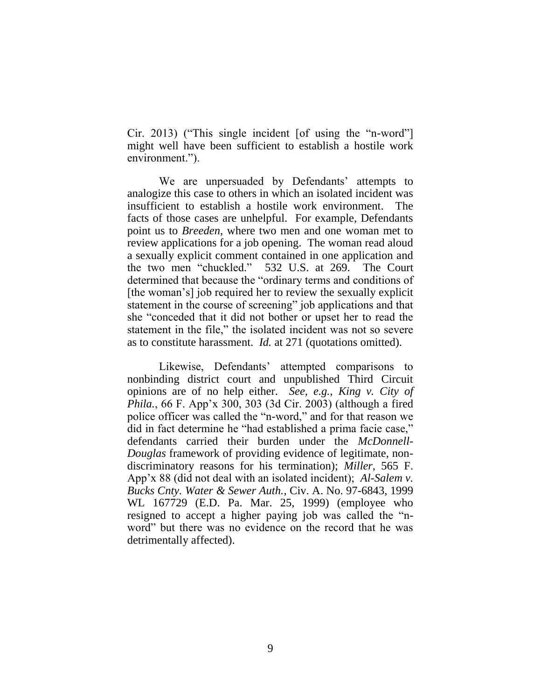Cir. 2013) ("This single incident [of using the "n-word"] might well have been sufficient to establish a hostile work environment.").

We are unpersuaded by Defendants' attempts to analogize this case to others in which an isolated incident was insufficient to establish a hostile work environment. The facts of those cases are unhelpful. For example, Defendants point us to *Breeden*, where two men and one woman met to review applications for a job opening. The woman read aloud a sexually explicit comment contained in one application and the two men "chuckled." 532 U.S. at 269. The Court determined that because the "ordinary terms and conditions of [the woman's] job required her to review the sexually explicit statement in the course of screening" job applications and that she "conceded that it did not bother or upset her to read the statement in the file," the isolated incident was not so severe as to constitute harassment. *Id.* at 271 (quotations omitted).

Likewise, Defendants' attempted comparisons to nonbinding district court and unpublished Third Circuit opinions are of no help either. *See, e.g.*, *King v. City of Phila.*, 66 F. App'x 300, 303 (3d Cir. 2003) (although a fired police officer was called the "n-word," and for that reason we did in fact determine he "had established a prima facie case," defendants carried their burden under the *McDonnell-Douglas* framework of providing evidence of legitimate, nondiscriminatory reasons for his termination); *Miller*, 565 F. App'x 88 (did not deal with an isolated incident); *Al-Salem v. Bucks Cnty. Water & Sewer Auth.*, Civ. A. No. 97-6843, 1999 WL 167729 (E.D. Pa. Mar. 25, 1999) (employee who resigned to accept a higher paying job was called the "nword" but there was no evidence on the record that he was detrimentally affected).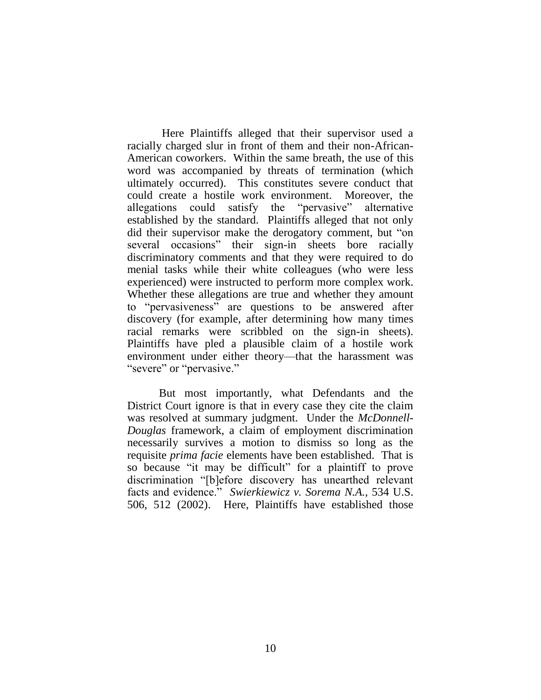Here Plaintiffs alleged that their supervisor used a racially charged slur in front of them and their non-African-American coworkers. Within the same breath, the use of this word was accompanied by threats of termination (which ultimately occurred). This constitutes severe conduct that could create a hostile work environment. Moreover, the allegations could satisfy the "pervasive" alternative established by the standard. Plaintiffs alleged that not only did their supervisor make the derogatory comment, but "on several occasions" their sign-in sheets bore racially discriminatory comments and that they were required to do menial tasks while their white colleagues (who were less experienced) were instructed to perform more complex work. Whether these allegations are true and whether they amount to "pervasiveness" are questions to be answered after discovery (for example, after determining how many times racial remarks were scribbled on the sign-in sheets). Plaintiffs have pled a plausible claim of a hostile work environment under either theory—that the harassment was "severe" or "pervasive."

But most importantly, what Defendants and the District Court ignore is that in every case they cite the claim was resolved at summary judgment. Under the *McDonnell-Douglas* framework, a claim of employment discrimination necessarily survives a motion to dismiss so long as the requisite *prima facie* elements have been established. That is so because "it may be difficult" for a plaintiff to prove discrimination "[b]efore discovery has unearthed relevant facts and evidence." *Swierkiewicz v. Sorema N.A.*, 534 U.S. 506, 512 (2002). Here, Plaintiffs have established those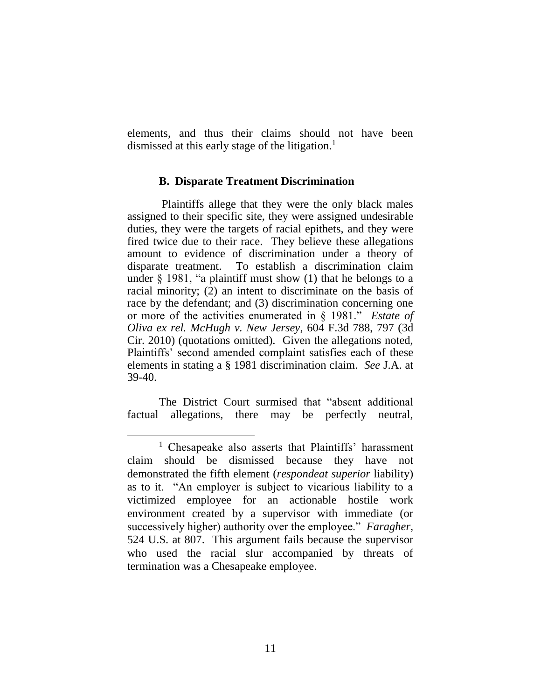elements, and thus their claims should not have been dismissed at this early stage of the litigation.<sup>1</sup>

## **B. Disparate Treatment Discrimination**

Plaintiffs allege that they were the only black males assigned to their specific site, they were assigned undesirable duties, they were the targets of racial epithets, and they were fired twice due to their race. They believe these allegations amount to evidence of discrimination under a theory of disparate treatment. To establish a discrimination claim under  $\S$  1981, "a plaintiff must show (1) that he belongs to a racial minority; (2) an intent to discriminate on the basis of race by the defendant; and (3) discrimination concerning one or more of the activities enumerated in § 1981." *Estate of Oliva ex rel. McHugh v. New Jersey*, 604 F.3d 788, 797 (3d Cir. 2010) (quotations omitted). Given the allegations noted, Plaintiffs' second amended complaint satisfies each of these elements in stating a § 1981 discrimination claim. *See* J.A. at 39-40.

The District Court surmised that "absent additional factual allegations, there may be perfectly neutral,

 $\overline{a}$ 

<sup>&</sup>lt;sup>1</sup> Chesapeake also asserts that Plaintiffs' harassment claim should be dismissed because they have not demonstrated the fifth element (*respondeat superior* liability) as to it. "An employer is subject to vicarious liability to a victimized employee for an actionable hostile work environment created by a supervisor with immediate (or successively higher) authority over the employee." *Faragher*, 524 U.S. at 807. This argument fails because the supervisor who used the racial slur accompanied by threats of termination was a Chesapeake employee.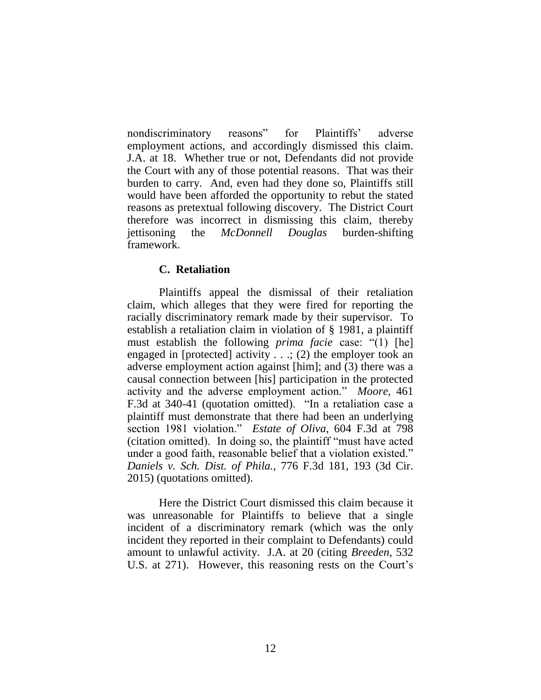nondiscriminatory reasons" for Plaintiffs' adverse employment actions, and accordingly dismissed this claim. J.A. at 18. Whether true or not, Defendants did not provide the Court with any of those potential reasons. That was their burden to carry. And, even had they done so, Plaintiffs still would have been afforded the opportunity to rebut the stated reasons as pretextual following discovery. The District Court therefore was incorrect in dismissing this claim, thereby jettisoning the *McDonnell Douglas* burden-shifting framework.

# **C. Retaliation**

Plaintiffs appeal the dismissal of their retaliation claim, which alleges that they were fired for reporting the racially discriminatory remark made by their supervisor. To establish a retaliation claim in violation of § 1981, a plaintiff must establish the following *prima facie* case: "(1) [he] engaged in [protected] activity  $\ldots$ ; (2) the employer took an adverse employment action against [him]; and (3) there was a causal connection between [his] participation in the protected activity and the adverse employment action." *Moore*, 461 F.3d at 340-41 (quotation omitted). "In a retaliation case a plaintiff must demonstrate that there had been an underlying section 1981 violation." *Estate of Oliva*, 604 F.3d at 798 (citation omitted). In doing so, the plaintiff "must have acted under a good faith, reasonable belief that a violation existed." *Daniels v. Sch. Dist. of Phila.*, 776 F.3d 181, 193 (3d Cir. 2015) (quotations omitted).

Here the District Court dismissed this claim because it was unreasonable for Plaintiffs to believe that a single incident of a discriminatory remark (which was the only incident they reported in their complaint to Defendants) could amount to unlawful activity. J.A. at 20 (citing *Breeden*, 532 U.S. at 271). However, this reasoning rests on the Court's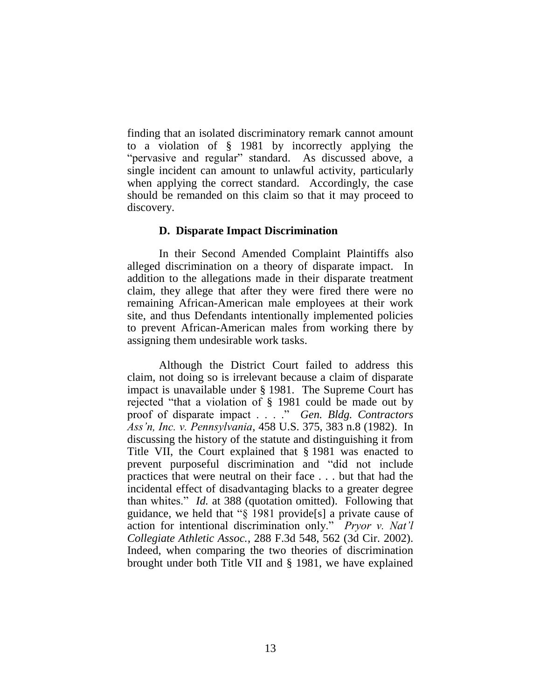finding that an isolated discriminatory remark cannot amount to a violation of § 1981 by incorrectly applying the "pervasive and regular" standard. As discussed above, a single incident can amount to unlawful activity, particularly when applying the correct standard. Accordingly, the case should be remanded on this claim so that it may proceed to discovery.

## **D. Disparate Impact Discrimination**

In their Second Amended Complaint Plaintiffs also alleged discrimination on a theory of disparate impact. In addition to the allegations made in their disparate treatment claim, they allege that after they were fired there were no remaining African-American male employees at their work site, and thus Defendants intentionally implemented policies to prevent African-American males from working there by assigning them undesirable work tasks.

Although the District Court failed to address this claim, not doing so is irrelevant because a claim of disparate impact is unavailable under § 1981. The Supreme Court has rejected "that a violation of § 1981 could be made out by proof of disparate impact . . . ." *Gen. Bldg. Contractors Ass'n, Inc. v. Pennsylvania*, 458 U.S. 375, 383 n.8 (1982). In discussing the history of the statute and distinguishing it from Title VII, the Court explained that § 1981 was enacted to prevent purposeful discrimination and "did not include practices that were neutral on their face . . . but that had the incidental effect of disadvantaging blacks to a greater degree than whites." *Id.* at 388 (quotation omitted). Following that guidance, we held that "§ 1981 provide[s] a private cause of action for intentional discrimination only." *Pryor v. Nat'l Collegiate Athletic Assoc.*, 288 F.3d 548, 562 (3d Cir. 2002). Indeed, when comparing the two theories of discrimination brought under both Title VII and § 1981, we have explained